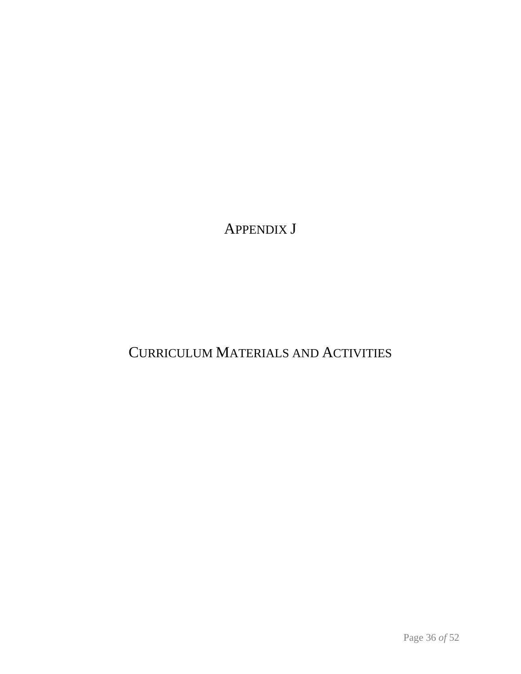APPENDIX J

# CURRICULUM MATERIALS AND ACTIVITIES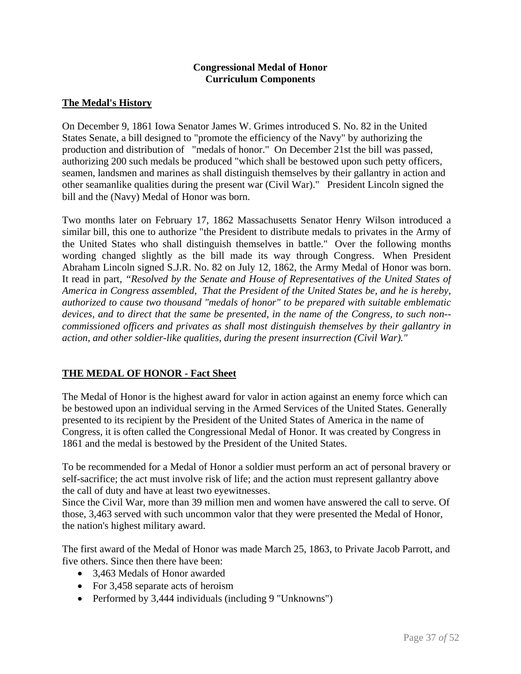#### **Congressional Medal of Honor Curriculum Components**

# **The Medal's History**

On December 9, 1861 Iowa Senator James W. Grimes introduced S. No. 82 in the United States Senate, a bill designed to "promote the efficiency of the Navy" by authorizing the production and distribution of "medals of honor." On December 21st the bill was passed, authorizing 200 such medals be produced "which shall be bestowed upon such petty officers, seamen, landsmen and marines as shall distinguish themselves by their gallantry in action and other seamanlike qualities during the present war (Civil War)." President Lincoln signed the bill and the (Navy) Medal of Honor was born.

Two months later on February 17, 1862 Massachusetts Senator Henry Wilson introduced a similar bill, this one to authorize "the President to distribute medals to privates in the Army of the United States who shall distinguish themselves in battle." Over the following months wording changed slightly as the bill made its way through Congress. When President Abraham Lincoln signed S.J.R. No. 82 on July 12, 1862, the Army Medal of Honor was born. It read in part, *"Resolved by the Senate and House of Representatives of the United States of America in Congress assembled, That the President of the United States be, and he is hereby, authorized to cause two thousand "medals of honor" to be prepared with suitable emblematic devices, and to direct that the same be presented, in the name of the Congress, to such non- commissioned officers and privates as shall most distinguish themselves by their gallantry in action, and other soldier-like qualities, during the present insurrection (Civil War)."* 

## **THE MEDAL OF HONOR - Fact Sheet**

The Medal of Honor is the highest award for valor in action against an enemy force which can be bestowed upon an individual serving in the Armed Services of the United States. Generally presented to its recipient by the President of the United States of America in the name of Congress, it is often called the Congressional Medal of Honor. It was created by Congress in 1861 and the medal is bestowed by the President of the United States.

To be recommended for a Medal of Honor a soldier must perform an act of personal bravery or self-sacrifice; the act must involve risk of life; and the action must represent gallantry above the call of duty and have at least two eyewitnesses.

Since the Civil War, more than 39 million men and women have answered the call to serve. Of those, 3,463 served with such uncommon valor that they were presented the Medal of Honor, the nation's highest military award.

The first award of the Medal of Honor was made March 25, 1863, to Private Jacob Parrott, and five others. Since then there have been:

- 3.463 Medals of Honor awarded
- For 3,458 separate acts of heroism
- Performed by 3,444 individuals (including 9 "Unknowns")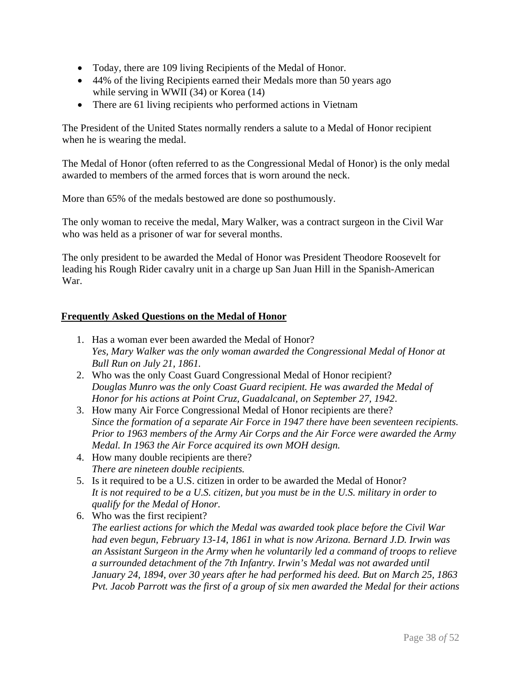- Today, there are 109 living Recipients of the Medal of Honor.
- 44% of the living Recipients earned their Medals more than 50 years ago while serving in WWII (34) or Korea (14)
- There are 61 living recipients who performed actions in Vietnam

The President of the United States normally renders a salute to a Medal of Honor recipient when he is wearing the medal.

The Medal of Honor (often referred to as the Congressional Medal of Honor) is the only medal awarded to members of the armed forces that is worn around the neck.

More than 65% of the medals bestowed are done so posthumously.

The only woman to receive the medal, Mary Walker, was a contract surgeon in the Civil War who was held as a prisoner of war for several months.

The only president to be awarded the Medal of Honor was President Theodore Roosevelt for leading his Rough Rider cavalry unit in a charge up San Juan Hill in the Spanish-American War.

#### **Frequently Asked Questions on the Medal of Honor**

- 1. Has a woman ever been awarded the Medal of Honor? *Yes, Mary Walker was the only woman awarded the Congressional Medal of Honor at Bull Run on July 21, 1861.*
- 2. Who was the only Coast Guard Congressional Medal of Honor recipient? *Douglas Munro was the only Coast Guard recipient. He was awarded the Medal of Honor for his actions at Point Cruz, Guadalcanal, on September 27, 1942*.
- 3. How many Air Force Congressional Medal of Honor recipients are there? *Since the formation of a separate Air Force in 1947 there have been seventeen recipients. Prior to 1963 members of the Army Air Corps and the Air Force were awarded the Army Medal. In 1963 the Air Force acquired its own MOH design.*
- 4. How many double recipients are there? *There are nineteen double recipients.*
- 5. Is it required to be a U.S. citizen in order to be awarded the Medal of Honor? *It is not required to be a U.S. citizen, but you must be in the U.S. military in order to qualify for the Medal of Honor.*
- 6. Who was the first recipient? *The earliest actions for which the Medal was awarded took place before the Civil War had even begun, February 13-14, 1861 in what is now Arizona. Bernard J.D. Irwin was an Assistant Surgeon in the Army when he voluntarily led a command of troops to relieve a surrounded detachment of the 7th Infantry. Irwin's Medal was not awarded until January 24, 1894, over 30 years after he had performed his deed. But on March 25, 1863 Pvt. Jacob Parrott was the first of a group of six men awarded the Medal for their actions*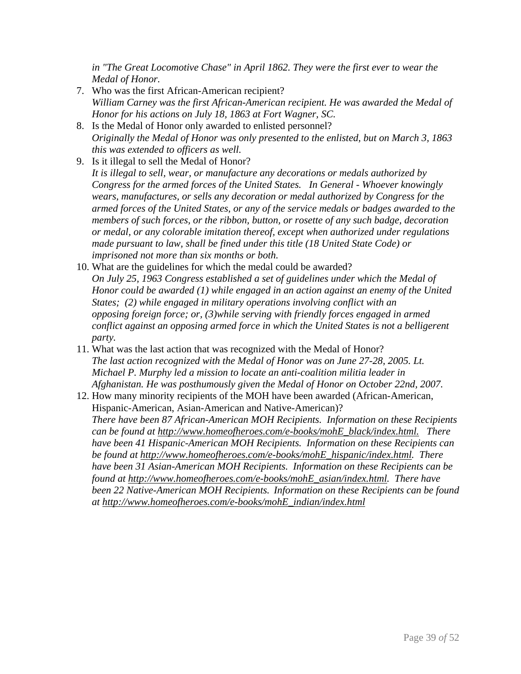*in "The Great Locomotive Chase" in April 1862. They were the first ever to wear the Medal of Honor.*

- 7. Who was the first African-American recipient? *William Carney was the first African-American recipient. He was awarded the Medal of Honor for his actions on July 18, 1863 at Fort Wagner, SC.*
- 8. Is the Medal of Honor only awarded to enlisted personnel? *Originally the Medal of Honor was only presented to the enlisted, but on March 3, 1863 this was extended to officers as well.*
- 9. Is it illegal to sell the Medal of Honor? *It is illegal to sell, wear, or manufacture any decorations or medals authorized by Congress for the armed forces of the United States. In General - Whoever knowingly wears, manufactures, or sells any decoration or medal authorized by Congress for the armed forces of the United States, or any of the service medals or badges awarded to the members of such forces, or the ribbon, button, or rosette of any such badge, decoration or medal, or any colorable imitation thereof, except when authorized under regulations made pursuant to law, shall be fined under this title (18 United State Code) or imprisoned not more than six months or both.*
- 10. What are the guidelines for which the medal could be awarded? *On July 25, 1963 Congress established a set of guidelines under which the Medal of Honor could be awarded (1) while engaged in an action against an enemy of the United States; (2) while engaged in military operations involving conflict with an opposing foreign force; or, (3)while serving with friendly forces engaged in armed conflict against an opposing armed force in which the United States is not a belligerent party.*
- 11. What was the last action that was recognized with the Medal of Honor? *The last action recognized with the Medal of Honor was on June 27-28, 2005. Lt. Michael P. Murphy led a mission to locate an anti-coalition militia leader in Afghanistan. He was posthumously given the Medal of Honor on October 22nd, 2007.*
- 12. How many minority recipients of the MOH have been awarded (African-American, Hispanic-American, Asian-American and Native-American)? *There have been 87 African-American MOH Recipients. Information on these Recipients can be found at [http://www.homeofheroes.com/e-books/mohE\\_black/index.html.](http://www.homeofheroes.com/e-books/mohE_black/index.html) There have been 41 Hispanic-American MOH Recipients. Information on these Recipients can be found at [http://www.homeofheroes.com/e-books/mohE\\_hispanic/index.html.](http://www.homeofheroes.com/e-books/mohE_hispanic/index.html) There have been 31 Asian-American MOH Recipients. Information on these Recipients can be found at [http://www.homeofheroes.com/e-books/mohE\\_asian/index.html.](http://www.homeofheroes.com/e-books/mohE_asian/index.html) There have been 22 Native-American MOH Recipients. Information on these Recipients can be found at [http://www.homeofheroes.com/e-books/mohE\\_indian/index.html](http://www.homeofheroes.com/e-books/mohE_indian/index.html)*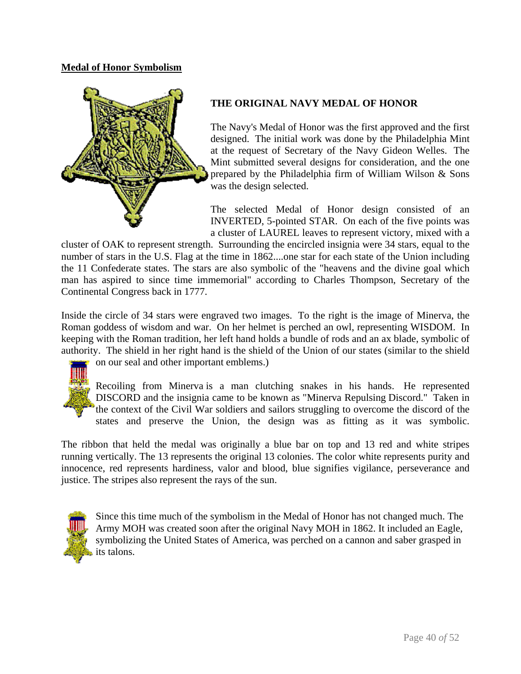# **Medal of Honor Symbolism**



# **THE ORIGINAL NAVY MEDAL OF HONOR**

The Navy's Medal of Honor was the first approved and the first designed. The initial work was done by the Philadelphia Mint at the request of Secretary of the Navy Gideon Welles. The Mint submitted several designs for consideration, and the one prepared by the Philadelphia firm of William Wilson & Sons was the design selected.

The selected Medal of Honor design consisted of an INVERTED, 5-pointed STAR. On each of the five points was a cluster of LAUREL leaves to represent victory, mixed with a

cluster of OAK to represent strength. Surrounding the encircled insignia were 34 stars, equal to the number of stars in the U.S. Flag at the time in 1862....one star for each state of the Union including the 11 Confederate states. The stars are also symbolic of the "heavens and the divine goal which man has aspired to since time immemorial" according to Charles Thompson, Secretary of the Continental Congress back in 1777.

Inside the circle of 34 stars were engraved two images. To the right is the image of Minerva, the Roman goddess of wisdom and war. On her helmet is perched an owl, representing WISDOM. In keeping with the Roman tradition, her left hand holds a bundle of rods and an ax blade, symbolic of [authority](http://www.cmohs.org/medal/images/moh_navy_orig.gif). The shield in her right hand is the shield of the Union of our states (similar to the shield



on our seal and other important emblems.)

states and preserve the Union, the design was as fitting as it was symbolic. Recoiling from Minerva is a man clutching snakes in his hands. He represented DISCORD and the insignia came to be known as "Minerva Repulsing Discord." Taken in the context of the Civil War soldiers and sailors struggling to overcome the discord of the

innocence, red represents hardiness, valor and blood, blue signifies vigilance, perseverance and justice. The stripes also represent the rays of the sun. The ribbon that held the medal was originally a blue bar on top and 13 red and white stripes running vertically. The 13 represents the original 13 colonies. The color white represents purity and



symbolizing the United States of America, was perched on a cannon and saber grasped in [i](http://www.cmohs.org/medal/images/moh_army_orig.gif)ts talons. Since this time much of the symbolism in the Medal of Honor has not changed much. The Army MOH was created soon after the original Navy MOH in 1862. It included an Eagle,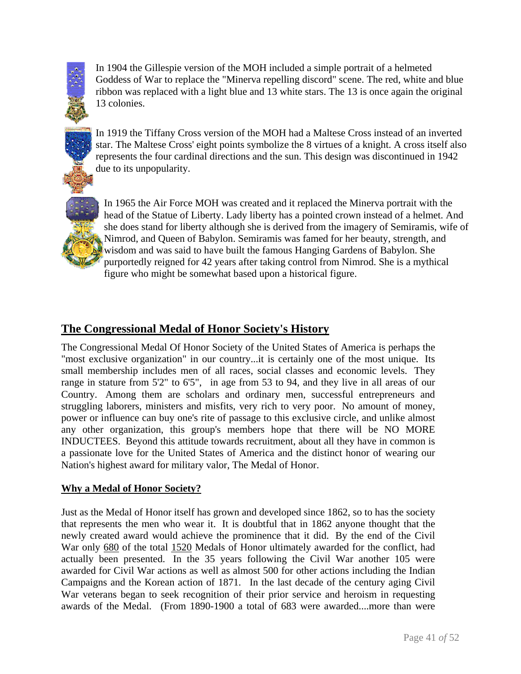

[I](http://www.cmohs.org/medal/images/moh_gillespie.gif)n 1904 the Gillespie version of the MOH included a simple portrait of a helmeted Goddess of War to replace the "Minerva repelling discord" scene. The red, white and blu e ribbon was replaced with a light blue and 13 white stars. The 13 is once again the original 13 colonie s.

[I](http://www.cmohs.org/medal/images/moh_tiffcross.gif)n 1919 the Tiffany Cross version of the MOH had a Maltese Cross instead of an inverted star. The Maltese Cross' eight points symbolize the 8 virtues of a knight. A cross itself also represents the four cardinal directions and the sun. This design was discontinued in 1942 due to its unpopularity.



figure who might be somewhat based upon a historical figure. [I](http://www.cmohs.org/medal/images/z_moh_airforce.gif)n 1965 the Air Force MOH was created and it replaced the Minerva portrait with the head of the Statue of Liberty. Lady liberty has a pointed crown instead of a helmet. And she does stand for liberty although she is derived from the imagery of Semiramis, wife of Nimrod, and Queen of Babylon. Semiramis was famed for her beauty, strength, and wisdom and was said to have built the famous Hanging Gardens of Babylon. She purportedly reigned for 42 years after taking control from Nimrod. She is a mythical

# **The Congressional Medal of Honor Society's History**

The Congressional Medal Of Honor Society of the United States of America is perhaps the "most exclusive organization" in our country...it is certainly one of the most unique. Its small membership includes men of all races, social classes and economic levels. They range in stature from 5'2" to 6'5", in age from 53 to 94, and they live in all areas of our Country. Among them are scholars and ordinary men, successful entrepreneurs and struggling laborers, ministers and misfits, very rich to very poor. No amount of money, power or influence can buy one's rite of passage to this exclusive circle, and unlike almost any other organization, this group's members hope that there will be NO MORE INDUCTEES. Beyond this attitude towards recruitment, about all they have in common is a passionate love for the United States of America and the distinct honor of wearing our Nation's highest award for military valor, The Medal of Honor.

## **Why a Medal of Honor Society?**

Just as the Medal of Honor itself has grown and developed since 1862, so to has the society that represents the men who wear it. It is doubtful that in 1862 anyone thought that the newly created award would achieve the prominence that it did. By the end of the Civil War only 680 of the total 1520 Medals of Honor ultimately awarded for the conflict, had actually been presented. In the 35 years following the Civil War another 105 were awarded for Civil War actions as well as almost 500 for other actions including the Indian Campaigns and the Korean action of 1871. In the last decade of the century aging Civil War veterans began to seek recognition of their prior service and heroism in requesting awards of the Medal. (From 1890-1900 a total of 683 were awarded....more than were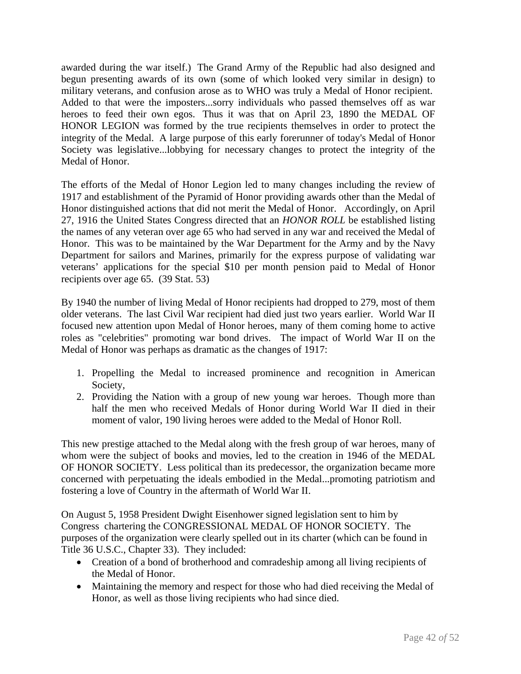awarded during the war itself.) The Grand Army of the Republic had also designed and begun presenting awards of its own (some of which looked very similar in design) to military veterans, and confusion arose as to WHO was truly a Medal of Honor recipient. Added to that were the imposters...sorry individuals who passed themselves off as war heroes to feed their own egos. Thus it was that on April 23, 1890 the MEDAL OF HONOR LEGION was formed by the true recipients themselves in order to protect the integrity of the Medal. A large purpose of this early forerunner of today's Medal of Honor Society was legislative...lobbying for necessary changes to protect the integrity of the Medal of Honor.

The efforts of the Medal of Honor Legion led to many changes including the review of 1917 and establishment of the Pyramid of Honor providing awards other than the Medal of Honor distinguished actions that did not merit the Medal of Honor. Accordingly, on April 27, 1916 the United States Congress directed that an *HONOR ROLL* be established listing the names of any veteran over age 65 who had served in any war and received the Medal of Honor. This was to be maintained by the War Department for the Army and by the Navy Department for sailors and Marines, primarily for the express purpose of validating war veterans' applications for the special \$10 per month pension paid to Medal of Honor recipients over age 65. (39 Stat. 53)

By 1940 the number of living Medal of Honor recipients had dropped to 279, most of them older veterans. The last Civil War recipient had died just two years earlier. World War II focused new attention upon Medal of Honor heroes, many of them coming home to active roles as "celebrities" promoting war bond drives. The impact of World War II on the Medal of Honor was perhaps as dramatic as the changes of 1917:

- 1. Propelling the Medal to increased prominence and recognition in American Society,
- 2. Providing the Nation with a group of new young war heroes. Though more than half the men who received Medals of Honor during World War II died in their moment of valor, 190 living heroes were added to the Medal of Honor Roll.

This new prestige attached to the Medal along with the fresh group of war heroes, many of whom were the subject of books and movies, led to the creation in 1946 of the MEDAL OF HONOR SOCIETY. Less political than its predecessor, the organization became more concerned with perpetuating the ideals embodied in the Medal...promoting patriotism and fostering a love of Country in the aftermath of World War II.

On August 5, 1958 President Dwight Eisenhower signed legislation sent to him by Congress chartering the CONGRESSIONAL MEDAL OF HONOR SOCIETY. The purposes of the organization were clearly spelled out in its charter (which can be found in Title 36 U.S.C., Chapter 33). They included:

- Creation of a bond of brotherhood and comradeship among all living recipients of the Medal of Honor.
- Maintaining the memory and respect for those who had died receiving the Medal of Honor, as well as those living recipients who had since died.